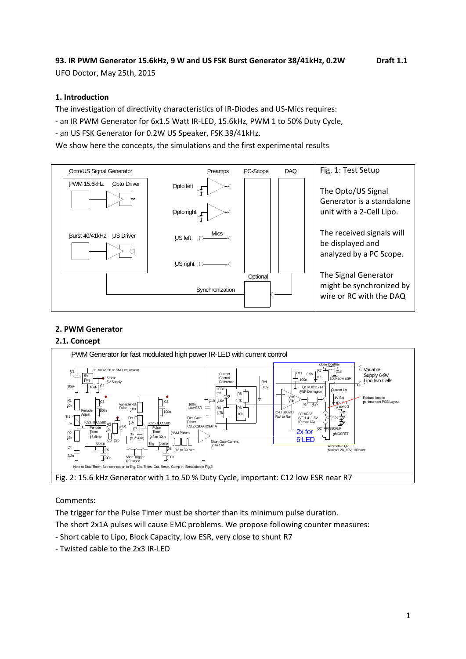# **1. Introduction**

The investigation of directivity characteristics of IR-Diodes and US-Mics requires:

- an IR PWM Generator for 6x1.5 Watt IR-LED, 15.6kHz, PWM 1 to 50% Duty Cycle,

- an US FSK Generator for 0.2W US Speaker, FSK 39/41kHz.

We show here the concepts, the simulations and the first experimental results



### **2. PWM Generator**

#### **2.1. Concept**



## Comments:

The trigger for the Pulse Timer must be shorter than its minimum pulse duration.

The short 2x1A pulses will cause EMC problems. We propose following counter measures:

- Short cable to Lipo, Block Capacity, low ESR, very close to shunt R7
- Twisted cable to the 2x3 IR-LED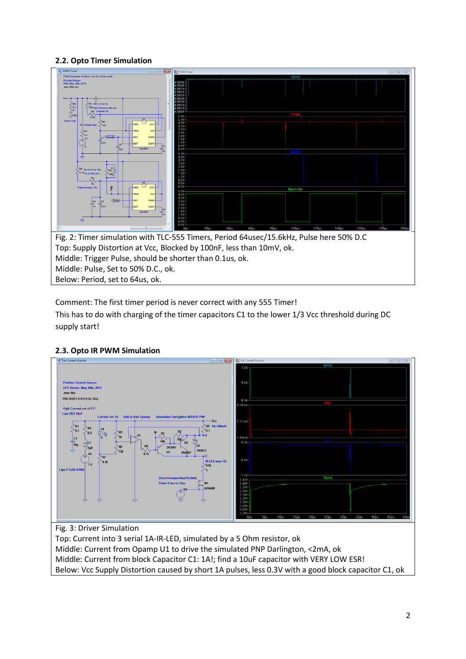# **2.2. Opto Timer Simulation**



Comment: The first timer period is never correct with any 555 Timer! This has to do with charging of the timer capacitors C1 to the lower 1/3 Vcc threshold during DC supply start!

# **2.3. Opto IR PWM Simulation**



Top: Current into 3 serial 1A-IR-LED, simulated by a 5 Ohm resistor, ok Middle: Current from Opamp U1 to drive the simulated PNP Darlington, <2mA, ok Middle: Current from block Capacitor C1: 1A!; find a 10uF capacitor with VERY LOW ESR! Below: Vcc Supply Distortion caused by short 1A pulses, less 0.3V with a good block capacitor C1, ok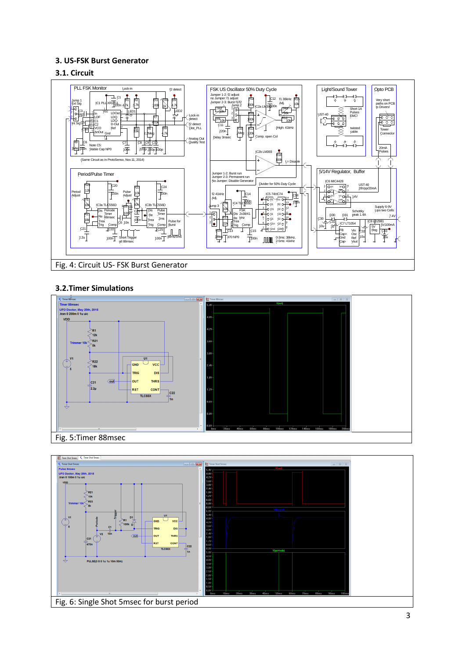### **3. US-FSK Burst Generator**

## **3.1. Circuit**



#### **3.2.Timer Simulations**



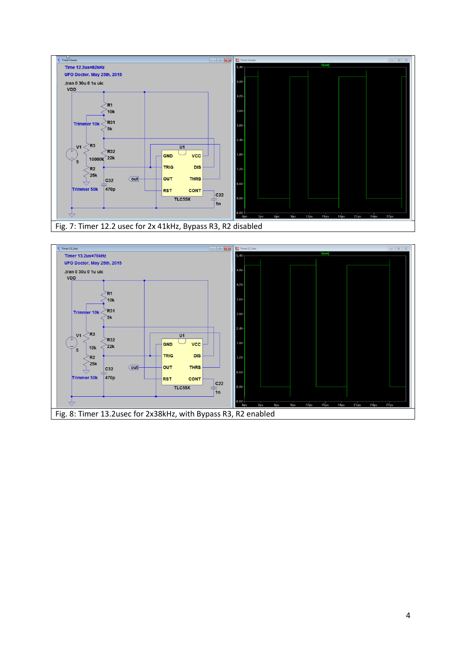